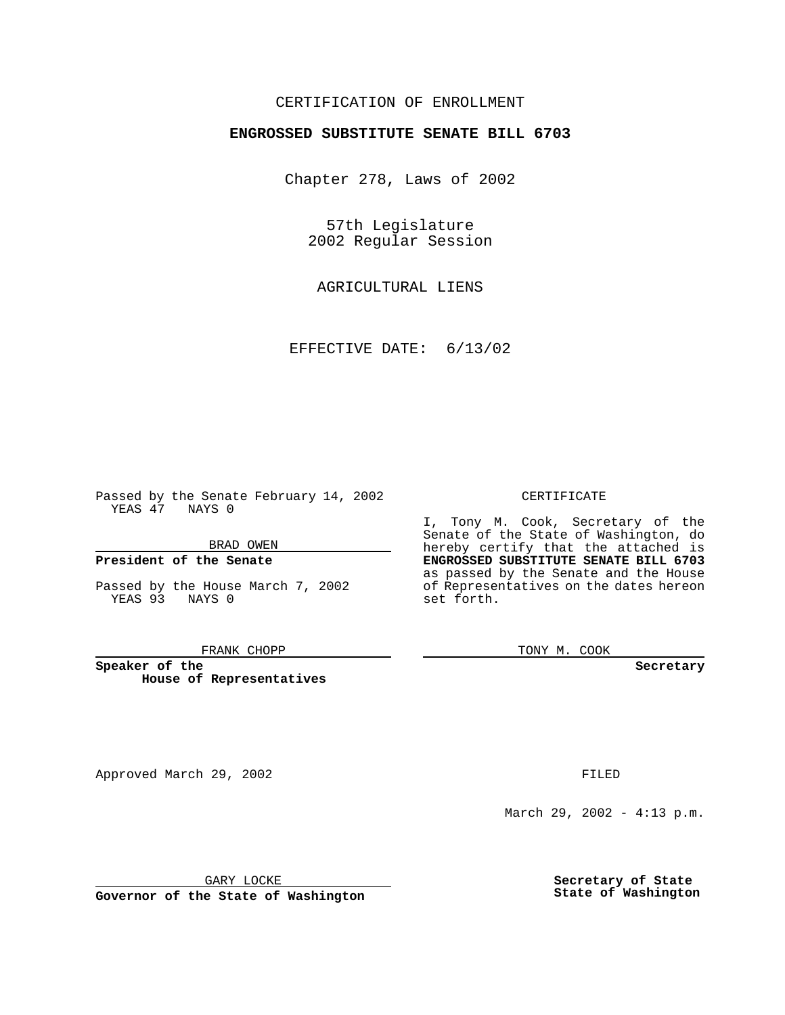### CERTIFICATION OF ENROLLMENT

# **ENGROSSED SUBSTITUTE SENATE BILL 6703**

Chapter 278, Laws of 2002

57th Legislature 2002 Regular Session

AGRICULTURAL LIENS

EFFECTIVE DATE: 6/13/02

Approved March 29, 2002 **FILED** 

Passed by the Senate February 14, 2002 YEAS 47 NAYS 0

BRAD OWEN

### **President of the Senate**

Passed by the House March 7, 2002 YEAS 93 NAYS 0

#### FRANK CHOPP

**Speaker of the House of Representatives**

March 29, 2002 - 4:13 p.m.

GARY LOCKE

**Governor of the State of Washington**

CERTIFICATE

I, Tony M. Cook, Secretary of the Senate of the State of Washington, do hereby certify that the attached is **ENGROSSED SUBSTITUTE SENATE BILL 6703** as passed by the Senate and the House of Representatives on the dates hereon set forth.

TONY M. COOK

**Secretary**

**Secretary of State State of Washington**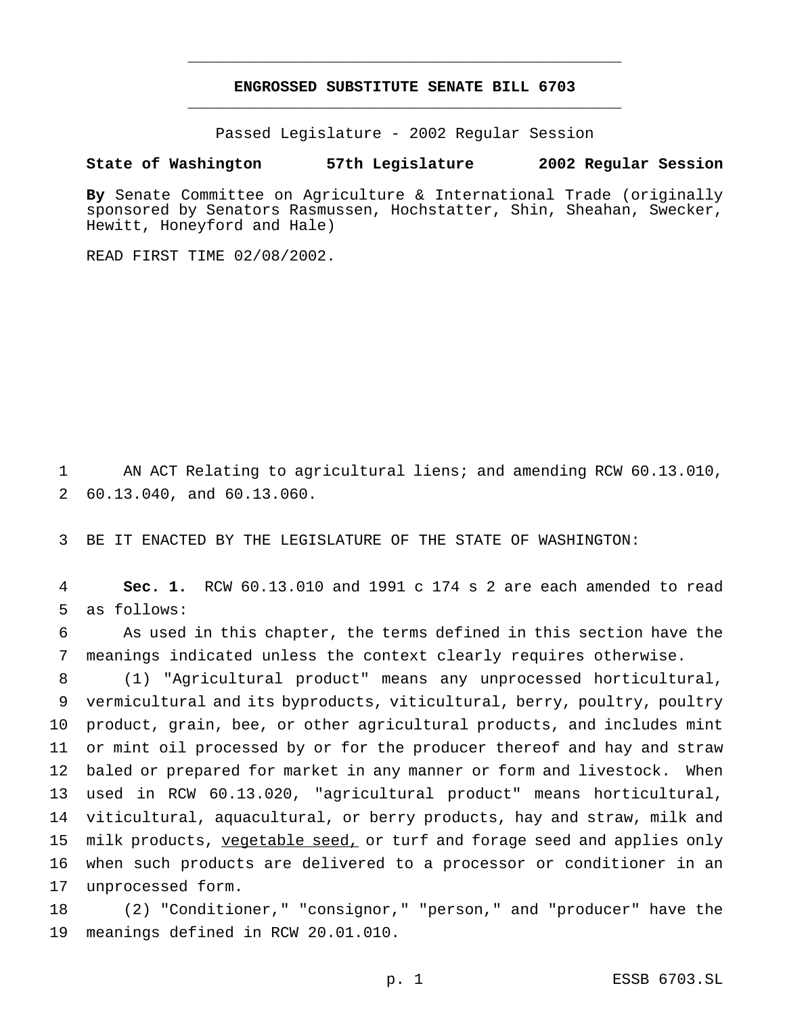## **ENGROSSED SUBSTITUTE SENATE BILL 6703** \_\_\_\_\_\_\_\_\_\_\_\_\_\_\_\_\_\_\_\_\_\_\_\_\_\_\_\_\_\_\_\_\_\_\_\_\_\_\_\_\_\_\_\_\_\_\_

\_\_\_\_\_\_\_\_\_\_\_\_\_\_\_\_\_\_\_\_\_\_\_\_\_\_\_\_\_\_\_\_\_\_\_\_\_\_\_\_\_\_\_\_\_\_\_

Passed Legislature - 2002 Regular Session

### **State of Washington 57th Legislature 2002 Regular Session**

**By** Senate Committee on Agriculture & International Trade (originally sponsored by Senators Rasmussen, Hochstatter, Shin, Sheahan, Swecker, Hewitt, Honeyford and Hale)

READ FIRST TIME 02/08/2002.

 AN ACT Relating to agricultural liens; and amending RCW 60.13.010, 60.13.040, and 60.13.060.

BE IT ENACTED BY THE LEGISLATURE OF THE STATE OF WASHINGTON:

 **Sec. 1.** RCW 60.13.010 and 1991 c 174 s 2 are each amended to read as follows:

 As used in this chapter, the terms defined in this section have the meanings indicated unless the context clearly requires otherwise.

 (1) "Agricultural product" means any unprocessed horticultural, vermicultural and its byproducts, viticultural, berry, poultry, poultry product, grain, bee, or other agricultural products, and includes mint or mint oil processed by or for the producer thereof and hay and straw baled or prepared for market in any manner or form and livestock. When used in RCW 60.13.020, "agricultural product" means horticultural, viticultural, aquacultural, or berry products, hay and straw, milk and 15 milk products, vegetable seed, or turf and forage seed and applies only when such products are delivered to a processor or conditioner in an unprocessed form.

 (2) "Conditioner," "consignor," "person," and "producer" have the meanings defined in RCW 20.01.010.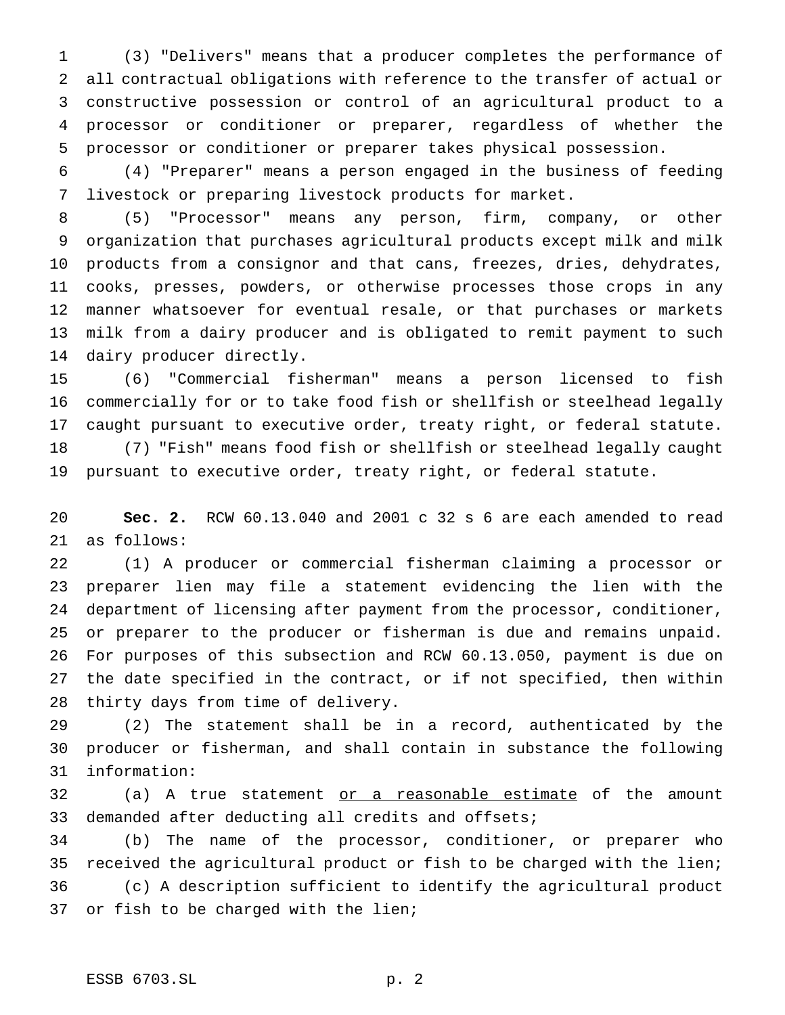(3) "Delivers" means that a producer completes the performance of all contractual obligations with reference to the transfer of actual or constructive possession or control of an agricultural product to a processor or conditioner or preparer, regardless of whether the processor or conditioner or preparer takes physical possession.

 (4) "Preparer" means a person engaged in the business of feeding livestock or preparing livestock products for market.

 (5) "Processor" means any person, firm, company, or other organization that purchases agricultural products except milk and milk products from a consignor and that cans, freezes, dries, dehydrates, cooks, presses, powders, or otherwise processes those crops in any manner whatsoever for eventual resale, or that purchases or markets milk from a dairy producer and is obligated to remit payment to such dairy producer directly.

 (6) "Commercial fisherman" means a person licensed to fish commercially for or to take food fish or shellfish or steelhead legally caught pursuant to executive order, treaty right, or federal statute. (7) "Fish" means food fish or shellfish or steelhead legally caught pursuant to executive order, treaty right, or federal statute.

 **Sec. 2.** RCW 60.13.040 and 2001 c 32 s 6 are each amended to read as follows:

 (1) A producer or commercial fisherman claiming a processor or preparer lien may file a statement evidencing the lien with the department of licensing after payment from the processor, conditioner, or preparer to the producer or fisherman is due and remains unpaid. For purposes of this subsection and RCW 60.13.050, payment is due on the date specified in the contract, or if not specified, then within thirty days from time of delivery.

 (2) The statement shall be in a record, authenticated by the producer or fisherman, and shall contain in substance the following information:

32 (a) A true statement or a reasonable estimate of the amount demanded after deducting all credits and offsets;

 (b) The name of the processor, conditioner, or preparer who received the agricultural product or fish to be charged with the lien; (c) A description sufficient to identify the agricultural product or fish to be charged with the lien;